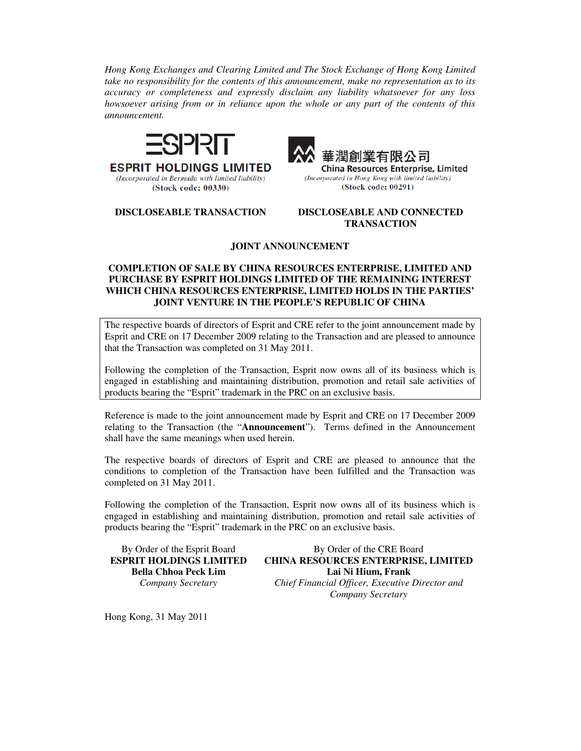*Hong Kong Exchanges and Clearing Limited and The Stock Exchange of Hong Kong Limited take no responsibility for the contents of this announcement, make no representation as to its accuracy or completeness and expressly disclaim any liability whatsoever for any loss howsoever arising from or in reliance upon the whole or any part of the contents of this announcement.* 



**ESPRIT HOLDINGS LIMITED** 

(Incorporated in Bermuda with limited liability)

(Stock code: 00330)



**China Resources Enterprise, Limited** (Incorporated in Hong Kong with limited liability) (Stock code: 00291)

**DISCLOSEABLE TRANSACTION DISCLOSEABLE AND CONNECTED TRANSACTION** 

## **JOINT ANNOUNCEMENT**

## **COMPLETION OF SALE BY CHINA RESOURCES ENTERPRISE, LIMITED AND PURCHASE BY ESPRIT HOLDINGS LIMITED OF THE REMAINING INTEREST WHICH CHINA RESOURCES ENTERPRISE, LIMITED HOLDS IN THE PARTIES' JOINT VENTURE IN THE PEOPLE'S REPUBLIC OF CHINA**

The respective boards of directors of Esprit and CRE refer to the joint announcement made by Esprit and CRE on 17 December 2009 relating to the Transaction and are pleased to announce that the Transaction was completed on 31 May 2011.

Following the completion of the Transaction, Esprit now owns all of its business which is engaged in establishing and maintaining distribution, promotion and retail sale activities of products bearing the "Esprit" trademark in the PRC on an exclusive basis.

Reference is made to the joint announcement made by Esprit and CRE on 17 December 2009 relating to the Transaction (the "**Announcement**"). Terms defined in the Announcement shall have the same meanings when used herein.

The respective boards of directors of Esprit and CRE are pleased to announce that the conditions to completion of the Transaction have been fulfilled and the Transaction was completed on 31 May 2011.

Following the completion of the Transaction, Esprit now owns all of its business which is engaged in establishing and maintaining distribution, promotion and retail sale activities of products bearing the "Esprit" trademark in the PRC on an exclusive basis.

By Order of the Esprit Board **ESPRIT HOLDINGS LIMITED Bella Chhoa Peck Lim** *Company Secretary* 

By Order of the CRE Board **CHINA RESOURCES ENTERPRISE, LIMITED Lai Ni Hium, Frank** *Chief Financial Officer, Executive Director and Company Secretary*

Hong Kong, 31 May 2011